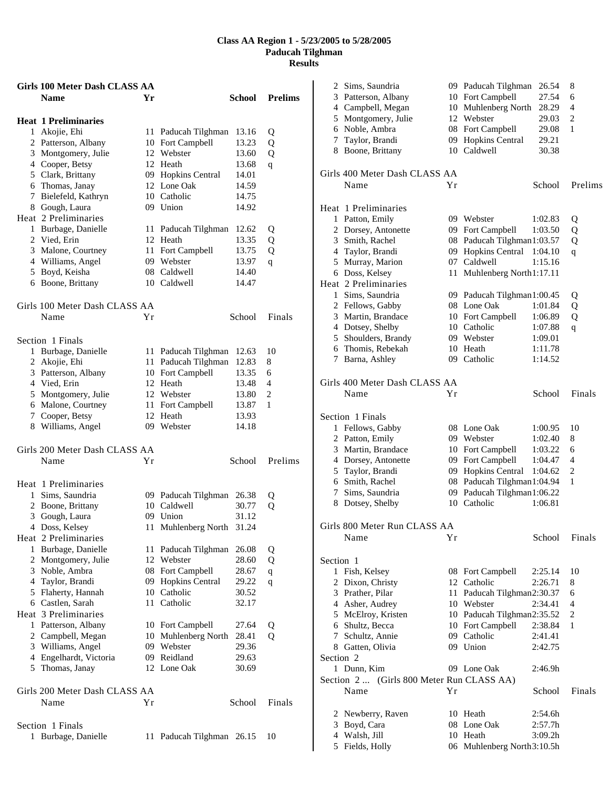| <b>Girls 100 Meter Dash CLASS AA</b> |    |                           |        |                |
|--------------------------------------|----|---------------------------|--------|----------------|
| <b>Name</b>                          | Yr |                           | School | <b>Prelims</b> |
| <b>Heat 1 Preliminaries</b>          |    |                           |        |                |
| 1 Akojie, Ehi                        |    | 11 Paducah Tilghman       | 13.16  | Q              |
| 2 Patterson, Albany                  |    | 10 Fort Campbell          | 13.23  | Q              |
| 3 Montgomery, Julie                  |    | 12 Webster                | 13.60  | Q              |
| 4 Cooper, Betsy                      |    | 12 Heath                  | 13.68  | q              |
| 5 Clark, Brittany                    |    | 09 Hopkins Central        | 14.01  |                |
| 6 Thomas, Janay                      |    | 12 Lone Oak               | 14.59  |                |
| 7 Bielefeld, Kathryn                 |    | 10 Catholic               | 14.75  |                |
| 8 Gough, Laura                       |    | 09 Union                  | 14.92  |                |
| Heat 2 Preliminaries                 |    |                           |        |                |
| 1 Burbage, Danielle                  | 11 | Paducah Tilghman          | 12.62  | Q              |
| 2 Vied, Erin                         | 12 | Heath                     | 13.35  | Q              |
| 3 Malone, Courtney                   |    | 11 Fort Campbell          | 13.75  | Q              |
| 4 Williams, Angel                    |    | 09 Webster                | 13.97  | q              |
| 5 Boyd, Keisha                       |    | 08 Caldwell               | 14.40  |                |
| 6 Boone, Brittany                    |    | 10 Caldwell               | 14.47  |                |
| Girls 100 Meter Dash CLASS AA        |    |                           |        |                |
| Name                                 | Υr |                           | School | Finals         |
|                                      |    |                           |        |                |
| Section 1 Finals                     |    |                           |        |                |
| 1 Burbage, Danielle                  |    | 11 Paducah Tilghman       | 12.63  | 10             |
| 2 Akojie, Ehi                        |    | 11 Paducah Tilghman       | 12.83  | 8              |
| 3 Patterson, Albany                  |    | 10 Fort Campbell          | 13.35  | 6              |
| 4 Vied, Erin                         |    | 12 Heath                  | 13.48  | 4              |
| 5 Montgomery, Julie                  |    | 12 Webster                | 13.80  | $\overline{c}$ |
| 6 Malone, Courtney                   |    | 11 Fort Campbell          | 13.87  | 1              |
| 7 Cooper, Betsy                      |    | 12 Heath                  | 13.93  |                |
| 8 Williams, Angel                    |    | 09 Webster                | 14.18  |                |
| Girls 200 Meter Dash CLASS AA        |    |                           |        |                |
| Name                                 | Υr |                           | School | Prelims        |
| Heat 1 Preliminaries                 |    |                           |        |                |
| 1 Sims, Saundria                     |    | 09 Paducah Tilghman       | 26.38  | Q              |
| 2 Boone, Brittany                    |    | 10 Caldwell               | 30.77  | Q              |
| 3 Gough, Laura                       |    | 09 Union                  | 31.12  |                |
| 4 Doss, Kelsey                       |    | 11 Muhlenberg North 31.24 |        |                |
| Heat 2 Preliminaries                 |    |                           |        |                |
| 1 Burbage, Danielle                  |    | 11 Paducah Tilghman       | 26.08  | Q              |
| 2 Montgomery, Julie                  |    | 12 Webster                | 28.60  | Q              |
| 3 Noble, Ambra                       |    | 08 Fort Campbell          | 28.67  | q              |
| 4 Taylor, Brandi                     | 09 | Hopkins Central           | 29.22  | q              |
| 5 Flaherty, Hannah                   |    | 10 Catholic               | 30.52  |                |
| 6 Castlen, Sarah                     |    | 11 Catholic               | 32.17  |                |
| Heat 3 Preliminaries                 |    |                           |        |                |
| 1 Patterson, Albany                  |    | 10 Fort Campbell          | 27.64  | Q              |
| 2 Campbell, Megan                    | 10 | Muhlenberg North          | 28.41  | Q              |
| 3 Williams, Angel                    | 09 | Webster                   | 29.36  |                |
| 4 Engelhardt, Victoria               |    | 09 Reidland               | 29.63  |                |
| 5 Thomas, Janay                      |    | 12 Lone Oak               | 30.69  |                |
| Girls 200 Meter Dash CLASS AA        |    |                           |        |                |
| Name                                 | Yr |                           | School | Finals         |
|                                      |    |                           |        |                |
| Section 1 Finals                     |    |                           |        |                |
| 1 Burbage, Danielle                  |    | 11 Paducah Tilghman 26.15 |        | 10             |

| Sims, Saundria<br>2                       |    | 09 Paducah Tilghman        | 26.54   | 8              |
|-------------------------------------------|----|----------------------------|---------|----------------|
| 3 Patterson, Albany                       |    | 10 Fort Campbell           | 27.54   | 6              |
| 4 Campbell, Megan                         |    | 10 Muhlenberg North        | 28.29   | $\overline{4}$ |
| 5 Montgomery, Julie                       |    | 12 Webster                 | 29.03   | $\overline{c}$ |
| 6 Noble, Ambra                            |    | 08 Fort Campbell           | 29.08   | 1              |
| 7 Taylor, Brandi                          |    | 09 Hopkins Central         | 29.21   |                |
| 8 Boone, Brittany                         |    | 10 Caldwell                | 30.38   |                |
| Girls 400 Meter Dash CLASS AA             |    |                            |         |                |
| Name                                      | Υr |                            | School  | Prelims        |
| Heat 1 Preliminaries                      |    |                            |         |                |
| 1 Patton, Emily                           |    | 09 Webster                 | 1:02.83 | Q              |
| 2 Dorsey, Antonette                       |    | 09 Fort Campbell           | 1:03.50 | Q              |
| 3 Smith, Rachel                           |    | 08 Paducah Tilghman1:03.57 |         | Q              |
| 4 Taylor, Brandi                          |    | 09 Hopkins Central         | 1:04.10 | q              |
| 5 Murray, Marion                          |    | 07 Caldwell                | 1:15.16 |                |
| 6 Doss, Kelsey                            | 11 | Muhlenberg North1:17.11    |         |                |
| Heat 2 Preliminaries                      |    |                            |         |                |
| 1 Sims, Saundria                          |    | 09 Paducah Tilghman1:00.45 |         | Q              |
| 2 Fellows, Gabby                          |    | 08 Lone Oak                | 1:01.84 | Q              |
| 3 Martin, Brandace                        |    | 10 Fort Campbell           | 1:06.89 | Q              |
| 4 Dotsey, Shelby                          |    | 10 Catholic                | 1:07.88 | q              |
| 5 Shoulders, Brandy                       |    | 09 Webster                 | 1:09.01 |                |
| 6 Thomis, Rebekah                         |    | 10 Heath                   | 1:11.78 |                |
| 7 Barna, Ashley                           |    | 09 Catholic                | 1:14.52 |                |
| Girls 400 Meter Dash CLASS AA             |    |                            |         |                |
| Name                                      | Υr |                            | School  | Finals         |
| Section 1 Finals                          |    |                            |         |                |
| 1 Fellows, Gabby                          |    | 08 Lone Oak                | 1:00.95 | 10             |
| 2 Patton, Emily                           |    | 09 Webster                 | 1:02.40 | 8              |
| 3 Martin, Brandace                        |    | 10 Fort Campbell           | 1:03.22 | 6              |
| 4 Dorsey, Antonette                       |    | 09 Fort Campbell           | 1:04.47 | 4              |
| 5 Taylor, Brandi                          |    | 09 Hopkins Central         | 1:04.62 | 2              |
| 6 Smith, Rachel                           |    | 08 Paducah Tilghman1:04.94 |         | $\mathbf{1}$   |
| 7 Sims, Saundria                          |    | 09 Paducah Tilghman1:06.22 |         |                |
| 8 Dotsey, Shelby                          | 10 | Catholic                   | 1:06.81 |                |
| Girls 800 Meter Run CLASS AA              |    |                            |         |                |
| Name                                      | Υr |                            | School  | Finals         |
| Section 1                                 |    |                            |         |                |
| 1 Fish, Kelsey                            |    | 08 Fort Campbell           | 2:25.14 | 10             |
| 2 Dixon, Christy                          |    | 12 Catholic                | 2:26.71 | 8              |
| 3 Prather, Pilar                          |    | 11 Paducah Tilghman2:30.37 |         | 6              |
| 4 Asher, Audrey                           |    | 10 Webster                 | 2:34.41 | 4              |
| 5 McElroy, Kristen                        |    | 10 Paducah Tilghman2:35.52 |         | 2              |
| 6 Shultz, Becca                           |    | 10 Fort Campbell           | 2:38.84 | 1              |
| 7 Schultz, Annie                          |    | 09 Catholic                | 2:41.41 |                |
| 8 Gatten, Olivia                          |    | 09 Union                   | 2:42.75 |                |
| Section 2                                 |    |                            |         |                |
| 1 Dunn, Kim                               |    | 09 Lone Oak                | 2:46.9h |                |
| Section 2  (Girls 800 Meter Run CLASS AA) |    |                            |         |                |
| Name                                      | Υr |                            | School  | Finals         |
| 2 Newberry, Raven                         |    | 10 Heath                   | 2:54.6h |                |
| 3 Boyd, Cara                              |    | 08 Lone Oak                | 2:57.7h |                |
| 4 Walsh, Jill                             |    | 10 Heath                   | 3:09.2h |                |
| 5 Fields, Holly                           |    | 06 Muhlenberg North3:10.5h |         |                |
|                                           |    |                            |         |                |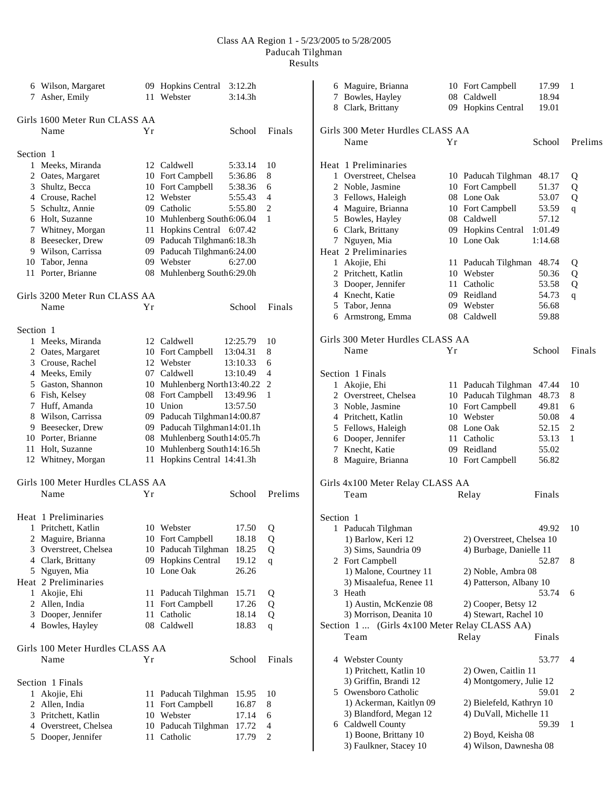|           | 6 Wilson, Margaret<br>7 Asher, Emily   |          | 09 Hopkins Central 3:12.2h<br>11 Webster                   | 3:14.3h            |         | 8         | 6 Maguire, Brianna<br>7 Bowles, Hayley<br>Clark, Brittany |    | 10 Fort Campbell<br>08 Caldwell<br>09 Hopkins Central | 17.99<br>18.94<br>19.01 | - 1         |
|-----------|----------------------------------------|----------|------------------------------------------------------------|--------------------|---------|-----------|-----------------------------------------------------------|----|-------------------------------------------------------|-------------------------|-------------|
|           | Girls 1600 Meter Run CLASS AA          |          |                                                            |                    |         |           |                                                           |    |                                                       |                         |             |
|           | Name                                   | Yr       |                                                            | School             | Finals  |           | Girls 300 Meter Hurdles CLASS AA                          |    |                                                       |                         |             |
|           |                                        |          |                                                            |                    |         |           | Name                                                      | Yr |                                                       | School                  | Prelims     |
| Section 1 |                                        |          |                                                            |                    |         |           |                                                           |    |                                                       |                         |             |
|           | 1 Meeks, Miranda                       |          | 12 Caldwell                                                | 5:33.14            | 10      |           | Heat 1 Preliminaries                                      |    |                                                       |                         |             |
|           | 2 Oates, Margaret                      |          | 10 Fort Campbell<br>10 Fort Campbell                       | 5:36.86<br>5:38.36 | 8<br>6  |           | 1 Overstreet, Chelsea                                     |    | 10 Paducah Tilghman<br>10 Fort Campbell               | 48.17                   | Q           |
|           | 3 Shultz, Becca<br>4 Crouse, Rachel    |          | 12 Webster                                                 | 5:55.43            | 4       |           | 2 Noble, Jasmine                                          |    | 08 Lone Oak                                           | 51.37<br>53.07          | Q           |
|           |                                        |          |                                                            |                    | 2       |           | 3 Fellows, Haleigh                                        |    | 10 Fort Campbell                                      |                         | Q           |
|           | 5 Schultz, Annie                       |          | 09 Catholic                                                | 5:55.80            |         |           | 4 Maguire, Brianna                                        |    | 08 Caldwell                                           | 53.59                   | $\mathbf q$ |
|           | 6 Holt, Suzanne                        |          | 10 Muhlenberg South6:06.04                                 |                    | 1       |           | 5 Bowles, Hayley                                          |    |                                                       | 57.12                   |             |
|           | 7 Whitney, Morgan<br>8 Beesecker, Drew | 11       | Hopkins Central 6:07.42<br>09 Paducah Tilghman6:18.3h      |                    |         | 6         | Clark, Brittany                                           |    | 09 Hopkins Central<br>10 Lone Oak                     | 1:01.49<br>1:14.68      |             |
|           | 9 Wilson, Carrissa                     |          | Paducah Tilghman6:24.00                                    |                    |         |           | 7 Nguyen, Mia<br>Heat 2 Preliminaries                     |    |                                                       |                         |             |
| 10        | Tabor, Jenna                           | 09<br>09 | Webster                                                    | 6:27.00            |         |           |                                                           |    |                                                       |                         |             |
|           | 11 Porter, Brianne                     |          | 08 Muhlenberg South6:29.0h                                 |                    |         | 1         | Akojie, Ehi                                               |    | 11 Paducah Tilghman 48.74<br>10 Webster               |                         | Q           |
|           |                                        |          |                                                            |                    |         |           | 2 Pritchett, Katlin                                       |    |                                                       | 50.36                   | Q           |
|           |                                        |          |                                                            |                    |         | 3         | Dooper, Jennifer<br>Knecht, Katie                         |    | 11 Catholic                                           | 53.58                   | Q           |
|           | Girls 3200 Meter Run CLASS AA          |          |                                                            |                    |         | 4         |                                                           |    | 09 Reidland                                           | 54.73                   | q           |
|           | Name                                   | Υr       |                                                            | School             | Finals  | 5         | Tabor, Jenna                                              |    | 09 Webster                                            | 56.68                   |             |
|           |                                        |          |                                                            |                    |         |           | 6 Armstrong, Emma                                         |    | 08 Caldwell                                           | 59.88                   |             |
| Section 1 | 1 Meeks, Miranda                       |          | 12 Caldwell                                                | 12:25.79           | 10      |           | Girls 300 Meter Hurdles CLASS AA                          |    |                                                       |                         |             |
|           |                                        |          | 10 Fort Campbell                                           | 13:04.31           | 8       |           | Name                                                      | Yr |                                                       | School                  | Finals      |
|           | 2 Oates, Margaret<br>3 Crouse, Rachel  |          | 12 Webster                                                 | 13:10.33           |         |           |                                                           |    |                                                       |                         |             |
|           |                                        |          | 07 Caldwell                                                | 13:10.49           | 6<br>4  |           |                                                           |    |                                                       |                         |             |
|           | 4 Meeks, Emily<br>5 Gaston, Shannon    |          |                                                            |                    |         |           | Section 1 Finals                                          |    |                                                       |                         |             |
|           | 6 Fish, Kelsey                         |          | 10 Muhlenberg North 13:40.22 2<br>08 Fort Campbell         | 13:49.96           |         |           | 1 Akojie, Ehi                                             |    | 11 Paducah Tilghman 47.44                             |                         | 10          |
|           | 7 Huff, Amanda                         | 10       | Union                                                      | 13:57.50           | -1      |           | 2 Overstreet, Chelsea                                     |    | 10 Paducah Tilghman                                   | 48.73                   | 8           |
|           |                                        |          |                                                            |                    |         |           | 3 Noble, Jasmine                                          |    | 10 Fort Campbell                                      | 49.81                   | 6           |
|           | 8 Wilson, Carrissa<br>Beesecker, Drew  | 09       | Paducah Tilghman14:00.87                                   |                    |         |           | 4 Pritchett, Katlin                                       |    | 10 Webster                                            | 50.08                   | 4           |
| 9.        |                                        |          | 09 Paducah Tilghman14:01.1h                                |                    |         |           | 5 Fellows, Haleigh                                        |    | 08 Lone Oak                                           | 52.15                   | 2           |
|           | 10 Porter, Brianne                     |          | 08 Muhlenberg South14:05.7h                                |                    |         | 6         | Dooper, Jennifer                                          |    | 11 Catholic                                           | 53.13                   | 1           |
|           | 11 Holt, Suzanne<br>12 Whitney, Morgan |          | 10 Muhlenberg South14:16.5h<br>11 Hopkins Central 14:41.3h |                    |         | 7         | Knecht, Katie<br>8 Maguire, Brianna                       |    | 09 Reidland<br>10 Fort Campbell                       | 55.02<br>56.82          |             |
|           |                                        |          |                                                            |                    |         |           |                                                           |    |                                                       |                         |             |
|           | Girls 100 Meter Hurdles CLASS AA       |          |                                                            |                    |         |           | Girls 4x100 Meter Relay CLASS AA                          |    |                                                       |                         |             |
|           | Name                                   | Yr       |                                                            | School             | Prelims |           | Team                                                      |    | Relay                                                 | Finals                  |             |
|           |                                        |          |                                                            |                    |         |           |                                                           |    |                                                       |                         |             |
|           | Heat 1 Preliminaries                   |          |                                                            |                    |         | Section 1 |                                                           |    |                                                       |                         |             |
|           | 1 Pritchett, Katlin                    |          | 10 Webster                                                 | 17.50              | Q       |           | 1 Paducah Tilghman                                        |    |                                                       | 49.92                   | - 10        |
|           | 2 Maguire, Brianna                     |          | 10 Fort Campbell                                           | 18.18              | Q       |           | 1) Barlow, Keri 12                                        |    | 2) Overstreet, Chelsea 10                             |                         |             |
|           | 3 Overstreet, Chelsea                  |          | 10 Paducah Tilghman                                        | 18.25              | Q       |           | 3) Sims, Saundria 09                                      |    | 4) Burbage, Danielle 11                               |                         |             |
|           | 4 Clark, Brittany                      |          | 09 Hopkins Central                                         | 19.12              | q       |           | 2 Fort Campbell                                           |    |                                                       | 52.87                   | 8           |
|           | 5 Nguyen, Mia                          |          | 10 Lone Oak                                                | 26.26              |         |           | 1) Malone, Courtney 11                                    |    | 2) Noble, Ambra 08                                    |                         |             |
|           | Heat 2 Preliminaries                   |          |                                                            |                    |         |           | 3) Misaalefua, Renee 11                                   |    | 4) Patterson, Albany 10                               |                         |             |
|           | 1 Akojie, Ehi                          |          | 11 Paducah Tilghman                                        | 15.71              | Q       |           | 3 Heath                                                   |    |                                                       | 53.74                   | 6           |
|           | 2 Allen, India                         |          | 11 Fort Campbell                                           | 17.26              | Q       |           | 1) Austin, McKenzie 08                                    |    | 2) Cooper, Betsy 12                                   |                         |             |
|           | 3 Dooper, Jennifer                     | 11       | Catholic                                                   | 18.14              | Q       |           | 3) Morrison, Deanita 10                                   |    | 4) Stewart, Rachel 10                                 |                         |             |
|           | 4 Bowles, Hayley                       |          | 08 Caldwell                                                | 18.83              | q       |           | Section 1  (Girls 4x100 Meter Relay CLASS AA)             |    |                                                       |                         |             |
|           |                                        |          |                                                            |                    |         |           | Team                                                      |    | Relay                                                 | Finals                  |             |
|           | Girls 100 Meter Hurdles CLASS AA       |          |                                                            |                    |         |           |                                                           |    |                                                       |                         |             |
|           | Name                                   | Υr       |                                                            | School             | Finals  |           | 4 Webster County                                          |    |                                                       | 53.77                   | -4          |
|           |                                        |          |                                                            |                    |         |           | 1) Pritchett, Katlin 10                                   |    | 2) Owen, Caitlin 11                                   |                         |             |
|           | Section 1 Finals                       |          |                                                            |                    |         |           | 3) Griffin, Brandi 12                                     |    | 4) Montgomery, Julie 12                               |                         |             |
|           | 1 Akojie, Ehi                          |          | 11 Paducah Tilghman 15.95                                  |                    | 10      |           | 5 Owensboro Catholic                                      |    |                                                       | 59.01                   | 2           |
|           | 2 Allen, India                         | 11       | Fort Campbell                                              | 16.87              | 8       |           | 1) Ackerman, Kaitlyn 09                                   |    | 2) Bielefeld, Kathryn 10                              |                         |             |
|           | 3 Pritchett, Katlin                    |          | 10 Webster                                                 | 17.14              | 6       |           | 3) Blandford, Megan 12                                    |    | 4) DuVall, Michelle 11                                |                         |             |
|           | 4 Overstreet, Chelsea                  |          | 10 Paducah Tilghman 17.72                                  |                    | 4       |           | 6 Caldwell County                                         |    |                                                       | 59.39                   | -1          |
|           | 5 Dooper, Jennifer                     |          | 11 Catholic                                                | 17.79              | 2       |           | 1) Boone, Brittany 10                                     |    | 2) Boyd, Keisha 08                                    |                         |             |
|           |                                        |          |                                                            |                    |         |           | 3) Faulkner, Stacey 10                                    |    | 4) Wilson, Dawnesha 08                                |                         |             |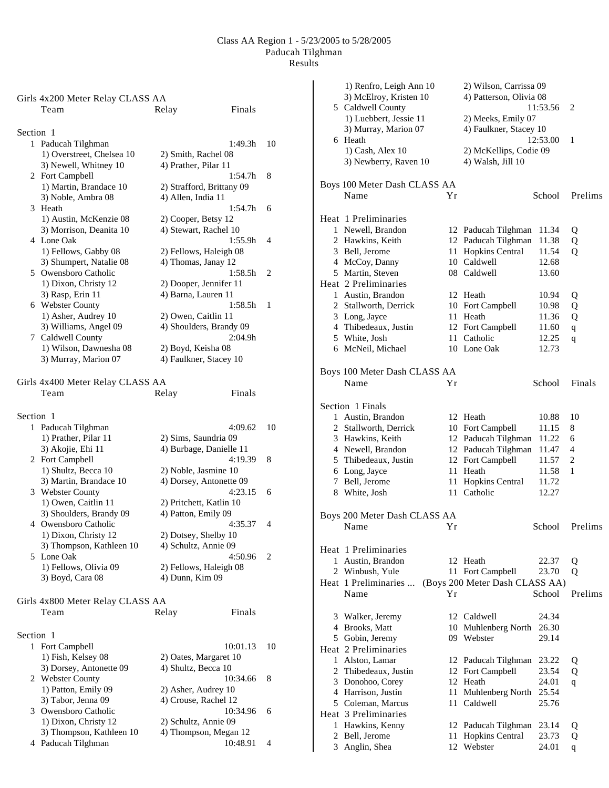|           | Girls 4x200 Meter Relay CLASS AA<br>Team  | Finals<br>Relay                           |    |
|-----------|-------------------------------------------|-------------------------------------------|----|
| Section 1 |                                           |                                           |    |
|           | 1 Paducah Tilghman                        | 1:49.3h                                   | 10 |
|           | 1) Overstreet, Chelsea 10                 | 2) Smith, Rachel 08                       |    |
|           | 3) Newell, Whitney 10                     | 4) Prather, Pilar 11                      |    |
|           | 2 Fort Campbell                           | 1:54.7h                                   | 8  |
|           | 1) Martin, Brandace 10                    | 2) Strafford, Brittany 09                 |    |
|           | 3) Noble, Ambra 08                        | 4) Allen, India 11                        |    |
|           | 3 Heath                                   | 1:54.7h                                   | 6  |
|           | 1) Austin, McKenzie 08                    | 2) Cooper, Betsy 12                       |    |
|           | 3) Morrison, Deanita 10                   | 4) Stewart, Rachel 10                     |    |
|           | 4 Lone Oak                                | 1:55.9h                                   | 4  |
|           | 1) Fellows, Gabby 08                      | 2) Fellows, Haleigh 08                    |    |
|           | 3) Shumpert, Natalie 08                   | 4) Thomas, Janay 12                       |    |
|           | 5 Owensboro Catholic                      | 1:58.5h                                   | 2  |
|           | 1) Dixon, Christy 12                      | 2) Dooper, Jennifer 11                    |    |
|           | 3) Rasp, Erin 11                          | 4) Barna, Lauren 11                       |    |
|           | 6 Webster County                          | 1:58.5h                                   | 1  |
|           | 1) Asher, Audrey 10                       | 2) Owen, Caitlin 11                       |    |
|           | 3) Williams, Angel 09                     | 4) Shoulders, Brandy 09                   |    |
|           | 7 Caldwell County                         | 2:04.9h                                   |    |
|           | 1) Wilson, Dawnesha 08                    | 2) Boyd, Keisha 08                        |    |
|           | 3) Murray, Marion 07                      | 4) Faulkner, Stacey 10                    |    |
|           | Girls 4x400 Meter Relay CLASS AA          |                                           |    |
|           | Team                                      | Finals<br>Relay                           |    |
|           |                                           |                                           |    |
| Section 1 |                                           |                                           |    |
|           | 1 Paducah Tilghman                        | 4:09.62                                   | 10 |
|           | 1) Prather, Pilar 11                      | 2) Sims, Saundria 09                      |    |
|           | 3) Akojie, Ehi 11                         | 4) Burbage, Danielle 11                   |    |
|           | 2 Fort Campbell                           | 4:19.39                                   | 8  |
|           | 1) Shultz, Becca 10                       | 2) Noble, Jasmine 10                      |    |
|           | 3) Martin, Brandace 10                    | 4) Dorsey, Antonette 09                   |    |
|           | 3 Webster County                          | 4:23.15                                   | 6  |
|           | 1) Owen, Caitlin 11                       | 2) Pritchett, Katlin 10                   |    |
|           | 3) Shoulders, Brandy 09                   | 4) Patton, Emily 09                       |    |
|           | 4 Owensboro Catholic                      | 4:35.37                                   | 4  |
|           | 1) Dixon, Christy 12                      | 2) Dotsey, Shelby 10                      |    |
|           | 3) Thompson, Kathleen 10                  | 4) Schultz, Annie 09                      |    |
|           | 5 Lone Oak                                | 4:50.96                                   | 2  |
|           | 1) Fellows, Olivia 09<br>3) Boyd, Cara 08 | 2) Fellows, Haleigh 08<br>4) Dunn, Kim 09 |    |
|           |                                           |                                           |    |
|           | Girls 4x800 Meter Relay CLASS AA          |                                           |    |
|           | Team                                      | Finals<br>Relay                           |    |
|           |                                           |                                           |    |
| Section 1 |                                           |                                           |    |
|           | 1 Fort Campbell                           | 10:01.13                                  | 10 |
|           | 1) Fish, Kelsey 08                        | 2) Oates, Margaret 10                     |    |
|           | 3) Dorsey, Antonette 09                   | 4) Shultz, Becca 10                       |    |
|           | 2 Webster County                          | 10:34.66                                  | 8  |
|           | 1) Patton, Emily 09                       | 2) Asher, Audrey 10                       |    |
|           | 3) Tabor, Jenna 09                        | 4) Crouse, Rachel 12                      |    |
| 3         | Owensboro Catholic                        | 10:34.96                                  | 6  |
|           | 1) Dixon, Christy 12                      | 2) Schultz, Annie 09                      |    |
|           | 3) Thompson, Kathleen 10                  | 4) Thompson, Megan 12                     |    |
|           | 4 Paducah Tilghman                        | 10:48.91                                  | 4  |

| 1) Renfro, Leigh Ann 10      |    | 2) Wilson, Carrissa 09         |          |              |
|------------------------------|----|--------------------------------|----------|--------------|
| 3) McElroy, Kristen 10       |    | 4) Patterson, Olivia 08        |          |              |
| 5 Caldwell County            |    |                                | 11:53.56 | 2            |
| 1) Luebbert, Jessie 11       |    | 2) Meeks, Emily 07             |          |              |
| 3) Murray, Marion 07         |    | 4) Faulkner, Stacey 10         |          |              |
| 6 Heath                      |    |                                | 12:53.00 | 1            |
|                              |    |                                |          |              |
| 1) Cash, Alex 10             |    | 2) McKellips, Codie 09         |          |              |
| 3) Newberry, Raven 10        |    | 4) Walsh, Jill 10              |          |              |
|                              |    |                                |          |              |
| Boys 100 Meter Dash CLASS AA |    |                                |          |              |
| Name                         | Υr |                                | School   | Prelims      |
|                              |    |                                |          |              |
| Heat 1 Preliminaries         |    |                                |          |              |
| 1 Newell, Brandon            |    | 12 Paducah Tilghman            | 11.34    | Q            |
| 2 Hawkins, Keith             |    | 12 Paducah Tilghman            | 11.38    | Q            |
| 3 Bell, Jerome               | 11 | Hopkins Central                | 11.54    | Q            |
| 4 McCoy, Danny               |    | 10 Caldwell                    | 12.68    |              |
|                              |    |                                |          |              |
| 5 Martin, Steven             |    | 08 Caldwell                    | 13.60    |              |
| Heat 2 Preliminaries         |    |                                |          |              |
| 1 Austin, Brandon            |    | 12 Heath                       | 10.94    | Q            |
| 2 Stallworth, Derrick        | 10 | Fort Campbell                  | 10.98    | Q            |
| 3 Long, Jayce                | 11 | Heath                          | 11.36    | Q            |
| 4 Thibedeaux, Justin         | 12 | Fort Campbell                  | 11.60    | $\mathbf q$  |
| 5 White, Josh                | 11 | Catholic                       | 12.25    |              |
|                              |    |                                |          | q            |
| 6 McNeil, Michael            |    | 10 Lone Oak                    | 12.73    |              |
|                              |    |                                |          |              |
| Boys 100 Meter Dash CLASS AA |    |                                |          |              |
| Name                         | Υr |                                | School   | Finals       |
|                              |    |                                |          |              |
| Section 1 Finals             |    |                                |          |              |
| 1 Austin, Brandon            |    | 12 Heath                       | 10.88    | 10           |
| 2 Stallworth, Derrick        |    | 10 Fort Campbell               | 11.15    | 8            |
| 3 Hawkins, Keith             |    | 12 Paducah Tilghman            | 11.22    | 6            |
| 4 Newell, Brandon            |    | 12 Paducah Tilghman            | 11.47    | 4            |
| 5 Thibedeaux, Justin         |    | 12 Fort Campbell               | 11.57    | 2            |
| 6 Long, Jayce                | 11 | Heath                          | 11.58    | 1            |
|                              |    |                                |          |              |
| 7 Bell, Jerome               | 11 | Hopkins Central                | 11.72    |              |
| 8 White, Josh                | 11 | Catholic                       | 12.27    |              |
|                              |    |                                |          |              |
| Boys 200 Meter Dash CLASS AA |    |                                |          |              |
| Name                         | Yr |                                | School   | Prelims      |
|                              |    |                                |          |              |
| Heat 1 Preliminaries         |    |                                |          |              |
| 1 Austin, Brandon            |    | 12 Heath                       | 22.37    | Q            |
| 2 Winbush, Yule              |    | 11 Fort Campbell               | 23.70    | Q            |
| Heat 1 Preliminaries         |    | (Boys 200 Meter Dash CLASS AA) |          |              |
| Name                         | Yr |                                | School   | Prelims      |
|                              |    |                                |          |              |
| 3 Walker, Jeremy             |    | 12 Caldwell                    | 24.34    |              |
| 4 Brooks, Matt               |    | 10 Muhlenberg North            | 26.30    |              |
| 5 Gobin, Jeremy              |    | 09 Webster                     | 29.14    |              |
|                              |    |                                |          |              |
| Heat 2 Preliminaries         |    |                                |          |              |
| 1 Alston, Lamar              |    | 12 Paducah Tilghman            | 23.22    | Q            |
| 2 Thibedeaux, Justin         |    | 12 Fort Campbell               | 23.54    | Q            |
| 3 Donohoo, Corey             |    | 12 Heath                       | 24.01    | q            |
| 4 Harrison, Justin           | 11 | Muhlenberg North               | 25.54    |              |
| 5 Coleman, Marcus            | 11 | Caldwell                       | 25.76    |              |
| Heat 3 Preliminaries         |    |                                |          |              |
| 1 Hawkins, Kenny             | 12 | Paducah Tilghman               | 23.14    | Q            |
| 2 Bell, Jerome               | 11 | Hopkins Central                | 23.73    | Q            |
| 3 Anglin, Shea               | 12 | Webster                        | 24.01    | $\mathbf{q}$ |
|                              |    |                                |          |              |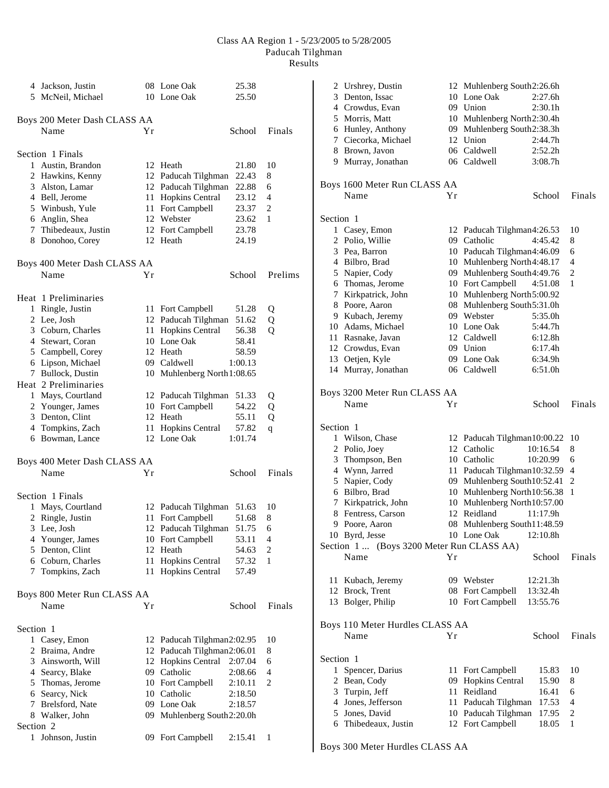|              | 4 Jackson, Justin<br>5 McNeil, Michael |    | 08 Lone Oak<br>10 Lone Oak            | 25.38<br>25.50   |         |
|--------------|----------------------------------------|----|---------------------------------------|------------------|---------|
|              | Boys 200 Meter Dash CLASS AA           |    |                                       |                  |         |
|              | Name                                   | Υr |                                       | School           | Finals  |
|              | Section 1 Finals                       |    |                                       |                  |         |
| $\mathbf{1}$ | Austin, Brandon                        |    | 12 Heath                              | 21.80            | 10      |
|              | 2 Hawkins, Kenny                       |    | 12 Paducah Tilghman                   | 22.43            | 8       |
|              | 3 Alston, Lamar                        |    | 12 Paducah Tilghman                   | 22.88            | 6       |
|              | 4 Bell, Jerome                         | 11 | <b>Hopkins Central</b>                | 23.12            | 4       |
|              | 5 Winbush, Yule                        | 11 | Fort Campbell                         | 23.37            | 2       |
|              | 6 Anglin, Shea                         | 12 | Webster                               | 23.62            | 1       |
|              | 7 Thibedeaux, Justin                   |    | 12 Fort Campbell                      | 23.78            |         |
|              | 8 Donohoo, Corey                       |    | 12 Heath                              | 24.19            |         |
|              | Boys 400 Meter Dash CLASS AA           |    |                                       |                  |         |
|              | Name                                   | Yr |                                       | School           | Prelims |
|              | Heat 1 Preliminaries                   |    |                                       |                  |         |
| 1            | Ringle, Justin                         |    | 11 Fort Campbell                      | 51.28            | Q       |
|              | 2 Lee, Josh                            |    | 12 Paducah Tilghman                   | 51.62            | Q       |
|              | 3 Coburn, Charles                      |    | 11 Hopkins Central                    | 56.38            | Q       |
|              | 4 Stewart, Coran                       |    | 10 Lone Oak                           | 58.41            |         |
|              | 5 Campbell, Corey                      |    | 12 Heath                              | 58.59            |         |
|              | 6 Lipson, Michael                      |    | 09 Caldwell                           | 1:00.13          |         |
|              | 7 Bullock, Dustin                      |    | 10 Muhlenberg North 1:08.65           |                  |         |
|              | Heat 2 Preliminaries                   |    |                                       |                  |         |
|              | 1 Mays, Courtland                      |    | 12 Paducah Tilghman                   | 51.33            | Q       |
|              | 2 Younger, James                       |    | 10 Fort Campbell                      | 54.22            | Q       |
|              | 3 Denton, Clint                        |    | 12 Heath                              | 55.11            | Q       |
|              | 4 Tompkins, Zach<br>6 Bowman, Lance    | 11 | <b>Hopkins Central</b><br>12 Lone Oak | 57.82<br>1:01.74 | q       |
|              | Boys 400 Meter Dash CLASS AA           |    |                                       |                  |         |
|              | Name                                   | Υr |                                       | School           | Finals  |
|              | Section 1 Finals                       |    |                                       |                  |         |
|              | 1 Mays, Courtland                      |    | 12 Paducah Tilghman                   | 51.63            | 10      |
| 2            | Ringle, Justin                         |    | 11 Fort Campbell                      | 51.68            | 8       |
|              | 3 Lee, Josh                            |    | 12 Paducah Tilghman                   | 51.75            | 6       |
|              | 4 Younger, James                       |    | 10 Fort Campbell                      | 53.11            | 4       |
|              | 5 Denton, Clint                        | 12 | Heath                                 | 54.63            | 2       |
|              | 6 Coburn, Charles                      | 11 | Hopkins Central                       | 57.32            | 1       |
| 7            | Tompkins, Zach                         | 11 | <b>Hopkins Central</b>                | 57.49            |         |
|              | Boys 800 Meter Run CLASS AA            |    |                                       |                  |         |
|              | Name                                   | Υr |                                       | School           | Finals  |
| Section 1    |                                        |    |                                       |                  |         |
|              | 1 Casey, Emon                          |    | 12 Paducah Tilghman2:02.95            |                  | 10      |
|              | 2 Braima, Andre                        |    | 12 Paducah Tilghman2:06.01            |                  | 8       |
|              | 3 Ainsworth, Will                      | 12 | <b>Hopkins Central</b>                | 2:07.04          | 6       |
|              | 4 Searcy, Blake                        |    | 09 Catholic                           | 2:08.66          | 4       |
|              | 5 Thomas, Jerome                       |    | 10 Fort Campbell                      | 2:10.11          | 2       |
|              | 6 Searcy, Nick                         |    | 10 Catholic                           | 2:18.50          |         |
|              | 7 Brelsford, Nate                      |    | 09 Lone Oak                           | 2:18.57          |         |
|              | 8 Walker, John                         |    | 09 Muhlenberg South2:20.0h            |                  |         |
| Section 2    |                                        |    |                                       |                  |         |
| 1            | Johnson, Justin                        |    | 09 Fort Campbell                      | 2:15.41          | 1       |

| 2            | Urshrey, Dustin                             |    | 12 Muhlenberg South2:26.6h  |                     |                |
|--------------|---------------------------------------------|----|-----------------------------|---------------------|----------------|
|              | 3 Denton, Issac                             |    | 10 Lone Oak                 | 2:27.6h             |                |
|              | 4 Crowdus, Evan                             |    | 09 Union                    | 2:30.1h             |                |
|              | 5 Morris, Matt                              |    | 10 Muhlenberg North2:30.4h  |                     |                |
|              | 6 Hunley, Anthony                           |    | 09 Muhlenberg South2:38.3h  |                     |                |
|              | 7 Ciecorka, Michael                         |    | 12 Union                    | 2:44.7h             |                |
|              | 8 Brown, Javon                              |    | 06 Caldwell                 | 2:52.2h             |                |
|              | 9 Murray, Jonathan                          |    | 06 Caldwell                 | 3:08.7h             |                |
|              |                                             |    |                             |                     |                |
|              | Boys 1600 Meter Run CLASS AA                |    |                             |                     |                |
|              | Name                                        | Υr |                             | School              | Finals         |
| Section 1    |                                             |    |                             |                     |                |
|              | 1 Casey, Emon                               |    | 12 Paducah Tilghman4:26.53  |                     | 10             |
|              | 2 Polio, Willie                             |    | 09 Catholic                 | 4:45.42             | 8              |
|              | 3 Pea, Barron                               |    | 10 Paducah Tilghman4:46.09  |                     | 6              |
|              | 4 Bilbro, Brad                              |    | 10 Muhlenberg North4:48.17  |                     | 4              |
|              | 5 Napier, Cody                              |    | 09 Muhlenberg South4:49.76  |                     | 2              |
|              | 6 Thomas, Jerome                            |    | 10 Fort Campbell            | 4:51.08             | 1              |
|              | 7 Kirkpatrick, John                         |    | 10 Muhlenberg North5:00.92  |                     |                |
|              | 8 Poore, Aaron                              |    | 08 Muhlenberg South5:31.0h  |                     |                |
|              | 9 Kubach, Jeremy                            |    | 09 Webster                  | 5:35.0h             |                |
|              | 10 Adams, Michael                           |    | 10 Lone Oak                 | 5:44.7h             |                |
|              | 11 Rasnake, Javan                           |    | 12 Caldwell                 | 6:12.8h             |                |
|              | 12 Crowdus, Evan                            |    | 09 Union                    | 6:17.4h             |                |
|              | 13 Oetjen, Kyle                             |    | 09 Lone Oak                 | 6:34.9h             |                |
| 14           | Murray, Jonathan                            |    | 06 Caldwell                 | 6:51.0 <sub>h</sub> |                |
|              | Boys 3200 Meter Run CLASS AA                |    |                             |                     |                |
|              | Name                                        | Υr |                             | School              | Finals         |
|              |                                             |    |                             |                     |                |
| Section 1    |                                             |    |                             |                     |                |
|              | 1 Wilson, Chase                             |    | 12 Paducah Tilghman10:00.22 |                     | 10             |
|              | 2 Polio, Joey                               |    | 12 Catholic                 | 10:16.54            | 8              |
|              | 3 Thompson, Ben                             |    | 10 Catholic                 | 10:20.99            | 6              |
|              | 4 Wynn, Jarred                              |    | 11 Paducah Tilghman10:32.59 |                     | 4              |
|              | 5 Napier, Cody                              |    | 09 Muhlenberg South10:52.41 |                     | $\overline{c}$ |
|              | 6 Bilbro, Brad                              |    | 10 Muhlenberg North10:56.38 |                     | 1              |
|              | 7 Kirkpatrick, John                         |    | 10 Muhlenberg North10:57.00 |                     |                |
|              | 8 Fentress, Carson                          | 12 | Reidland                    | 11:17.9h            |                |
| 9            | Poore, Aaron                                | 08 | Muhlenberg South11:48.59    |                     |                |
|              | 10 Byrd, Jesse                              |    | 10 Lone Oak                 | 12:10.8h            |                |
|              | (Boys 3200 Meter Run CLASS AA)<br>Section 1 |    |                             |                     |                |
|              | Name                                        | Υr |                             | School              | Finals         |
|              | 11 Kubach, Jeremy                           |    | 09 Webster                  | 12:21.3h            |                |
|              | 12 Brock, Trent                             |    | 08 Fort Campbell            | 13:32.4h            |                |
|              | 13 Bolger, Philip                           |    | 10 Fort Campbell            | 13:55.76            |                |
|              |                                             |    |                             |                     |                |
|              | Boys 110 Meter Hurdles CLASS AA             |    |                             |                     |                |
|              | Name                                        | Yr |                             | School              | Finals         |
|              |                                             |    |                             |                     |                |
| Section 1    |                                             |    |                             |                     |                |
| $\mathbf{1}$ | Spencer, Darius                             |    | 11 Fort Campbell            | 15.83               | 10             |
|              | 2 Bean, Cody                                | 09 | Hopkins Central             | 15.90               | 8              |
|              | 3 Turpin, Jeff                              | 11 | Reidland                    | 16.41               | 6              |
|              | 4 Jones, Jefferson                          | 11 | Paducah Tilghman            | 17.53               | $\overline{4}$ |
|              | 5 Jones, David                              |    | 10 Paducah Tilghman         | 17.95               | 2              |
|              | 6 Thibedeaux, Justin                        |    | 12 Fort Campbell            | 18.05               | 1              |
|              |                                             |    |                             |                     |                |

Boys 300 Meter Hurdles CLASS AA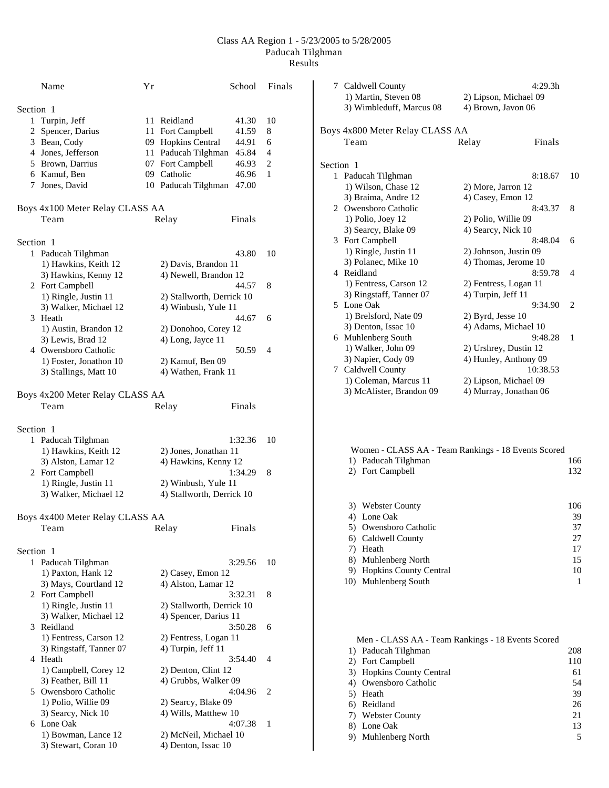|           | Name                                          | Υr |                                                  | School  | Finals |
|-----------|-----------------------------------------------|----|--------------------------------------------------|---------|--------|
| Section 1 |                                               |    |                                                  |         |        |
|           | 1 Turpin, Jeff                                |    | 11 Reidland                                      | 41.30   | 10     |
|           | 2 Spencer, Darius                             |    | 11 Fort Campbell                                 | 41.59   | 8      |
|           | 3 Bean, Cody                                  |    | 09 Hopkins Central                               | 44.91   | 6      |
|           | 4 Jones, Jefferson                            |    | 11 Paducah Tilghman                              | 45.84   | 4      |
|           | 5 Brown, Darrius                              |    | 07 Fort Campbell                                 | 46.93   | 2      |
|           | 6 Kamuf, Ben                                  |    | 09 Catholic                                      | 46.96   | 1      |
|           | 7 Jones, David                                |    | 10 Paducah Tilghman                              | 47.00   |        |
|           | Boys 4x100 Meter Relay CLASS AA               |    |                                                  |         |        |
|           | Team                                          |    | Relay                                            | Finals  |        |
|           |                                               |    |                                                  |         |        |
| Section 1 |                                               |    |                                                  |         |        |
|           | 1 Paducah Tilghman                            |    |                                                  | 43.80   | 10     |
|           | 1) Hawkins, Keith 12                          |    | 2) Davis, Brandon 11                             |         |        |
|           | 3) Hawkins, Kenny 12                          |    | 4) Newell, Brandon 12                            |         |        |
|           | 2 Fort Campbell                               |    |                                                  | 44.57   | 8      |
|           |                                               |    |                                                  |         |        |
|           | 1) Ringle, Justin 11<br>3) Walker, Michael 12 |    | 2) Stallworth, Derrick 10<br>4) Winbush, Yule 11 |         |        |
|           | 3 Heath                                       |    |                                                  | 44.67   | 6      |
|           | 1) Austin, Brandon 12                         |    | 2) Donohoo, Corey 12                             |         |        |
|           | 3) Lewis, Brad 12                             |    | 4) Long, Jayce 11                                |         |        |
|           | 4 Owensboro Catholic                          |    |                                                  | 50.59   | 4      |
|           |                                               |    |                                                  |         |        |
|           | 1) Foster, Jonathon 10                        |    | 2) Kamuf, Ben 09                                 |         |        |
|           | 3) Stallings, Matt 10                         |    | 4) Wathen, Frank 11                              |         |        |
|           | Boys 4x200 Meter Relay CLASS AA               |    |                                                  |         |        |
|           | Team                                          |    | Relay                                            | Finals  |        |
|           |                                               |    |                                                  |         |        |
| Section 1 |                                               |    |                                                  |         |        |
| 1         | Paducah Tilghman                              |    |                                                  | 1:32.36 | 10     |
|           | 1) Hawkins, Keith 12                          |    | 2) Jones, Jonathan 11                            |         |        |
|           | 3) Alston, Lamar 12                           |    | 4) Hawkins, Kenny 12                             |         |        |
|           | 2 Fort Campbell                               |    |                                                  | 1:34.29 | 8      |
|           | 1) Ringle, Justin 11                          |    | 2) Winbush, Yule 11                              |         |        |
|           | 3) Walker, Michael 12                         |    | 4) Stallworth, Derrick 10                        |         |        |
|           | Boys 4x400 Meter Relay CLASS AA               |    |                                                  |         |        |
|           | Team                                          |    | Relay                                            | Finals  |        |
|           |                                               |    |                                                  |         |        |
| Section 1 |                                               |    |                                                  |         |        |
|           | 1 Paducah Tilghman                            |    |                                                  | 3:29.56 | 10     |
|           | 1) Paxton, Hank 12                            |    | 2) Casey, Emon 12                                |         |        |
|           | 3) Mays, Courtland 12                         |    | 4) Alston, Lamar 12                              |         |        |
|           |                                               |    |                                                  |         |        |
|           | 2 Fort Campbell                               |    |                                                  | 3:32.31 | 8      |
|           | 1) Ringle, Justin 11                          |    | 2) Stallworth, Derrick 10                        |         |        |
|           | 3) Walker, Michael 12                         |    | 4) Spencer, Darius 11                            |         |        |
|           | 3 Reidland                                    |    |                                                  | 3:50.28 | 6      |
|           | 1) Fentress, Carson 12                        |    | 2) Fentress, Logan 11                            |         |        |
|           | 3) Ringstaff, Tanner 07                       |    | 4) Turpin, Jeff 11                               |         |        |
|           | 4 Heath                                       |    |                                                  | 3:54.40 | 4      |
|           | 1) Campbell, Corey 12                         |    | 2) Denton, Clint 12                              |         |        |
|           | 3) Feather, Bill 11                           |    | 4) Grubbs, Walker 09                             |         |        |
|           | 5 Owensboro Catholic                          |    |                                                  | 4:04.96 | 2      |
|           | 1) Polio, Willie 09                           |    | 2) Searcy, Blake 09                              |         |        |
|           |                                               |    |                                                  |         |        |
|           | 3) Searcy, Nick 10                            |    | 4) Wills, Matthew 10                             |         |        |
|           | 6 Lone Oak                                    |    |                                                  | 4:07.38 | 1      |
|           | 1) Bowman, Lance 12                           |    | 2) McNeil, Michael 10                            |         |        |
|           | 3) Stewart, Coran 10                          |    | 4) Denton, Issac 10                              |         |        |

|           | 7 Caldwell County<br>1) Martin, Steven 08<br>3) Wimbleduff, Marcus 08 | 2) Lipson, Michael 09<br>4) Brown, Javon 06 | 4:29.3h  |    |
|-----------|-----------------------------------------------------------------------|---------------------------------------------|----------|----|
|           | Boys 4x800 Meter Relay CLASS AA                                       |                                             |          |    |
|           | Team                                                                  | Relay                                       | Finals   |    |
| Section 1 |                                                                       |                                             |          |    |
|           | 1 Paducah Tilghman                                                    |                                             | 8:18.67  | 10 |
|           | 1) Wilson, Chase 12                                                   | 2) More, Jarron 12                          |          |    |
|           | 3) Braima, Andre 12                                                   | 4) Casey, Emon 12                           |          |    |
|           | 2 Owensboro Catholic                                                  |                                             | 8:43.37  | 8  |
|           | 1) Polio, Joey 12                                                     | 2) Polio, Willie 09                         |          |    |
|           | 3) Searcy, Blake 09                                                   | 4) Searcy, Nick 10                          |          |    |
|           | 3 Fort Campbell                                                       |                                             | 8:48.04  | 6  |
|           | 1) Ringle, Justin 11                                                  | 2) Johnson, Justin 09                       |          |    |
|           | 3) Polanec, Mike 10                                                   | 4) Thomas, Jerome 10                        |          |    |
|           | 4 Reidland                                                            |                                             | 8:59.78  | 4  |
|           | 1) Fentress, Carson 12                                                | 2) Fentress, Logan 11                       |          |    |
|           | 3) Ringstaff, Tanner 07                                               | 4) Turpin, Jeff 11                          |          |    |
|           | 5 Lone Oak                                                            |                                             | 9:34.90  | 2  |
|           | 1) Brelsford, Nate 09                                                 | $2)$ Byrd, Jesse 10                         |          |    |
|           | 3) Denton, Issac 10                                                   | 4) Adams, Michael 10                        |          |    |
|           | 6 Muhlenberg South                                                    |                                             | 9:48.28  | 1  |
|           | 1) Walker, John 09                                                    | 2) Urshrey, Dustin 12                       |          |    |
|           | 3) Napier, Cody 09                                                    | 4) Hunley, Anthony 09                       |          |    |
|           | 7 Caldwell County                                                     |                                             | 10:38.53 |    |
|           | 1) Coleman, Marcus 11                                                 | 2) Lipson, Michael 09                       |          |    |
|           | 3) McAlister, Brandon 09                                              | 4) Murray, Jonathan 06                      |          |    |
|           |                                                                       |                                             |          |    |
|           |                                                                       |                                             |          |    |
|           |                                                                       |                                             |          |    |

| Women - CLASS AA - Team Rankings - 18 Events Scored |     |
|-----------------------------------------------------|-----|
| 1) Paducah Tilghman                                 | 166 |
| 2) Fort Campbell                                    | 132 |
|                                                     |     |
|                                                     |     |
| 3) Webster County                                   | 106 |
| 4) Lone Oak                                         | 39  |
| 5) Owensboro Catholic                               | 37  |
| 6) Caldwell County                                  | 27  |
| Heath                                               | 17  |
| 8) Muhlenberg North                                 | 15  |

| 8) Munienberg North       |    |
|---------------------------|----|
| 9) Hopkins County Central | 10 |
| 10) Muhlenberg South      |    |

| Men - CLASS AA - Team Rankings - 18 Events Scored |     |
|---------------------------------------------------|-----|
| 1) Paducah Tilghman                               | 208 |
| 2) Fort Campbell                                  | 110 |
| 3) Hopkins County Central                         | 61  |
| 4) Owensboro Catholic                             | 54  |
| 5) Heath                                          | 39  |
| 6) Reidland                                       | 26  |
| 7) Webster County                                 | 21  |
| 8) Lone Oak                                       | 13  |
| 9) Muhlenberg North                               |     |